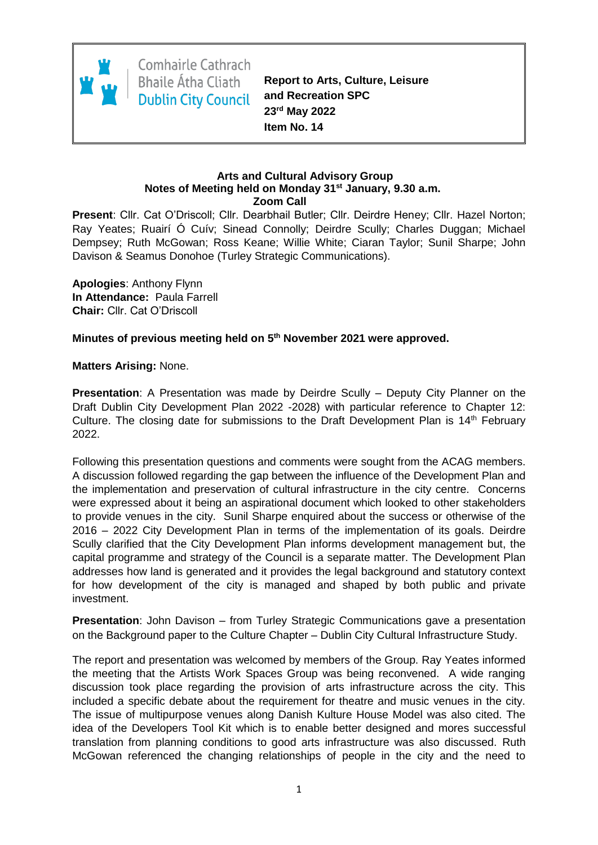

Comhairle Cathrach **Bhaile Átha Cliath Dublin City Council** 

**Report to Arts, Culture, Leisure and Recreation SPC 23rd May 2022 Item No. 14**

#### **Arts and Cultural Advisory Group Notes of Meeting held on Monday 31st January, 9.30 a.m. Zoom Call**

**Present**: Cllr. Cat O'Driscoll; Cllr. Dearbhail Butler; Cllr. Deirdre Heney; Cllr. Hazel Norton; Ray Yeates; Ruairí Ó Cuív; Sinead Connolly; Deirdre Scully; Charles Duggan; Michael Dempsey; Ruth McGowan; Ross Keane; Willie White; Ciaran Taylor; Sunil Sharpe; John Davison & Seamus Donohoe (Turley Strategic Communications).

**Apologies**: Anthony Flynn **In Attendance:** Paula Farrell **Chair:** Cllr. Cat O'Driscoll

**Minutes of previous meeting held on 5 th November 2021 were approved.**

**Matters Arising:** None.

**Presentation**: A Presentation was made by Deirdre Scully – Deputy City Planner on the Draft Dublin City Development Plan 2022 -2028) with particular reference to Chapter 12: Culture. The closing date for submissions to the Draft Development Plan is  $14<sup>th</sup>$  February 2022.

Following this presentation questions and comments were sought from the ACAG members. A discussion followed regarding the gap between the influence of the Development Plan and the implementation and preservation of cultural infrastructure in the city centre. Concerns were expressed about it being an aspirational document which looked to other stakeholders to provide venues in the city. Sunil Sharpe enquired about the success or otherwise of the 2016 – 2022 City Development Plan in terms of the implementation of its goals. Deirdre Scully clarified that the City Development Plan informs development management but, the capital programme and strategy of the Council is a separate matter. The Development Plan addresses how land is generated and it provides the legal background and statutory context for how development of the city is managed and shaped by both public and private investment.

**Presentation**: John Davison – from Turley Strategic Communications gave a presentation on the Background paper to the Culture Chapter – Dublin City Cultural Infrastructure Study.

The report and presentation was welcomed by members of the Group. Ray Yeates informed the meeting that the Artists Work Spaces Group was being reconvened. A wide ranging discussion took place regarding the provision of arts infrastructure across the city. This included a specific debate about the requirement for theatre and music venues in the city. The issue of multipurpose venues along Danish Kulture House Model was also cited. The idea of the Developers Tool Kit which is to enable better designed and mores successful translation from planning conditions to good arts infrastructure was also discussed. Ruth McGowan referenced the changing relationships of people in the city and the need to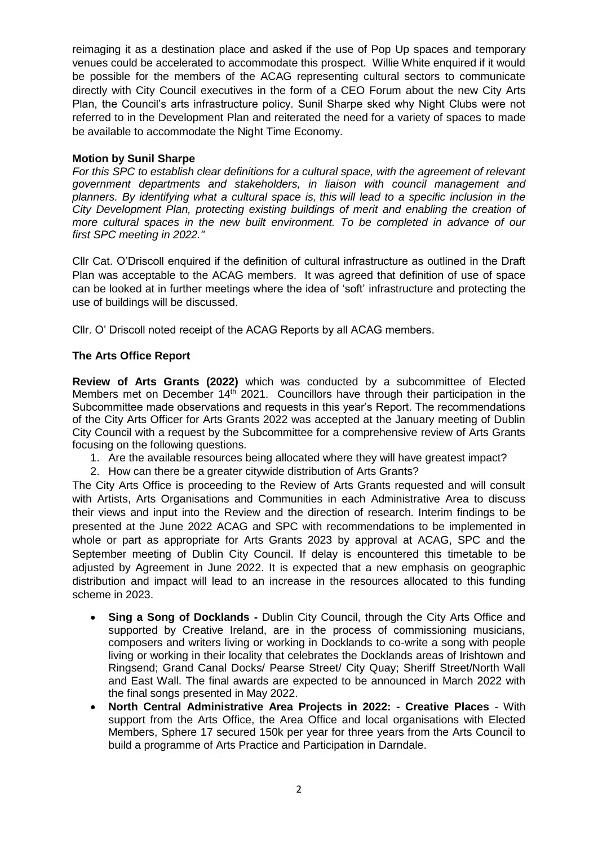reimaging it as a destination place and asked if the use of Pop Up spaces and temporary venues could be accelerated to accommodate this prospect. Willie White enquired if it would be possible for the members of the ACAG representing cultural sectors to communicate directly with City Council executives in the form of a CEO Forum about the new City Arts Plan, the Council's arts infrastructure policy. Sunil Sharpe sked why Night Clubs were not referred to in the Development Plan and reiterated the need for a variety of spaces to made be available to accommodate the Night Time Economy.

### **Motion by Sunil Sharpe**

*For this SPC to establish clear definitions for a cultural space, with the agreement of relevant government departments and stakeholders, in liaison with council management and planners. By identifying what a cultural space is, this will lead to a specific inclusion in the City Development Plan, protecting existing buildings of merit and enabling the creation of more cultural spaces in the new built environment. To be completed in advance of our first SPC meeting in 2022."*

Cllr Cat. O'Driscoll enquired if the definition of cultural infrastructure as outlined in the Draft Plan was acceptable to the ACAG members. It was agreed that definition of use of space can be looked at in further meetings where the idea of 'soft' infrastructure and protecting the use of buildings will be discussed.

Cllr. O' Driscoll noted receipt of the ACAG Reports by all ACAG members.

# **The Arts Office Report**

**Review of Arts Grants (2022)** which was conducted by a subcommittee of Elected Members met on December 14<sup>th</sup> 2021. Councillors have through their participation in the Subcommittee made observations and requests in this year's Report. The recommendations of the City Arts Officer for Arts Grants 2022 was accepted at the January meeting of Dublin City Council with a request by the Subcommittee for a comprehensive review of Arts Grants focusing on the following questions.

- 1. Are the available resources being allocated where they will have greatest impact?
- 2. How can there be a greater citywide distribution of Arts Grants?

The City Arts Office is proceeding to the Review of Arts Grants requested and will consult with Artists, Arts Organisations and Communities in each Administrative Area to discuss their views and input into the Review and the direction of research. Interim findings to be presented at the June 2022 ACAG and SPC with recommendations to be implemented in whole or part as appropriate for Arts Grants 2023 by approval at ACAG, SPC and the September meeting of Dublin City Council. If delay is encountered this timetable to be adjusted by Agreement in June 2022. It is expected that a new emphasis on geographic distribution and impact will lead to an increase in the resources allocated to this funding scheme in 2023.

- **Sing a Song of Docklands -** Dublin City Council, through the City Arts Office and supported by Creative Ireland, are in the process of commissioning musicians, composers and writers living or working in Docklands to co-write a song with people living or working in their locality that celebrates the Docklands areas of Irishtown and Ringsend; Grand Canal Docks/ Pearse Street/ City Quay; Sheriff Street/North Wall and East Wall. The final awards are expected to be announced in March 2022 with the final songs presented in May 2022.
- **North Central Administrative Area Projects in 2022: - Creative Places** With support from the Arts Office, the Area Office and local organisations with Elected Members, Sphere 17 secured 150k per year for three years from the Arts Council to build a programme of Arts Practice and Participation in Darndale.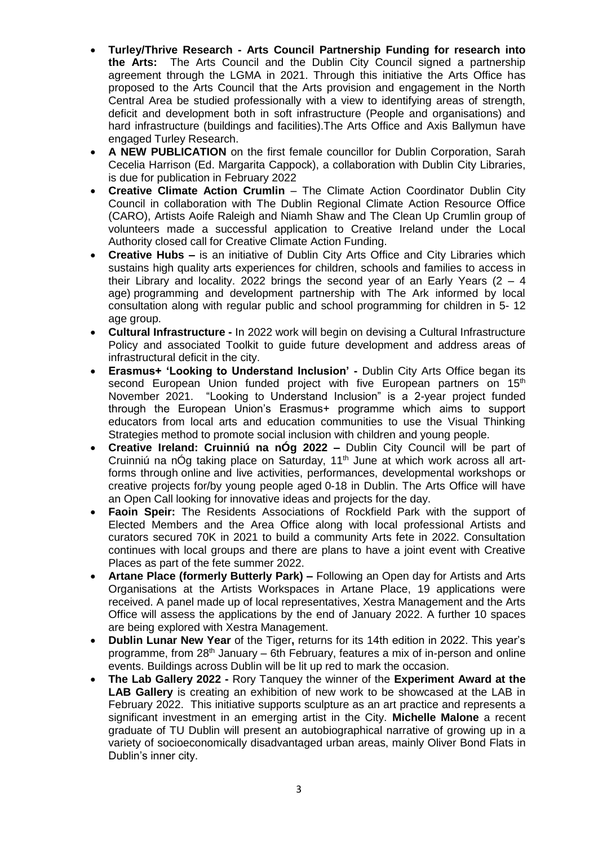- **Turley/Thrive Research - Arts Council Partnership Funding for research into the Arts:** The Arts Council and the Dublin City Council signed a partnership agreement through the LGMA in 2021. Through this initiative the Arts Office has proposed to the Arts Council that the Arts provision and engagement in the North Central Area be studied professionally with a view to identifying areas of strength, deficit and development both in soft infrastructure (People and organisations) and hard infrastructure (buildings and facilities).The Arts Office and Axis Ballymun have engaged Turley Research.
- **A NEW PUBLICATION** on the first female councillor for Dublin Corporation, Sarah Cecelia Harrison (Ed. Margarita Cappock), a collaboration with Dublin City Libraries, is due for publication in February 2022
- **Creative Climate Action Crumlin** The Climate Action Coordinator Dublin City Council in collaboration with The Dublin Regional Climate Action Resource Office (CARO), Artists Aoife Raleigh and Niamh Shaw and The Clean Up Crumlin group of volunteers made a successful application to Creative Ireland under the Local Authority closed call for Creative Climate Action Funding.
- **Creative Hubs –** is an initiative of Dublin City Arts Office and City Libraries which sustains high quality arts experiences for children, schools and families to access in their Library and locality. 2022 brings the second year of an Early Years (2  $-$  4 age) programming and development partnership with The Ark informed by local consultation along with regular public and school programming for children in 5- 12 age group.
- **Cultural Infrastructure -** In 2022 work will begin on devising a Cultural Infrastructure Policy and associated Toolkit to guide future development and address areas of infrastructural deficit in the city.
- **Erasmus+ 'Looking to Understand Inclusion' -** Dublin City Arts Office began its second European Union funded project with five European partners on 15<sup>th</sup> November 2021. "Looking to Understand Inclusion" is a 2-year project funded through the European Union's Erasmus+ programme which aims to support educators from local arts and education communities to use the Visual Thinking Strategies method to promote social inclusion with children and young people.
- **Creative Ireland: Cruinniú na nÓg 2022 –** Dublin City Council will be part of Cruinniú na nÓg taking place on Saturday, 11<sup>th</sup> June at which work across all artforms through online and live activities, performances, developmental workshops or creative projects for/by young people aged 0-18 in Dublin. The Arts Office will have an Open Call looking for innovative ideas and projects for the day.
- **Faoin Speir:** The Residents Associations of Rockfield Park with the support of Elected Members and the Area Office along with local professional Artists and curators secured 70K in 2021 to build a community Arts fete in 2022. Consultation continues with local groups and there are plans to have a joint event with Creative Places as part of the fete summer 2022.
- **Artane Place (formerly Butterly Park) –** Following an Open day for Artists and Arts Organisations at the Artists Workspaces in Artane Place, 19 applications were received. A panel made up of local representatives, Xestra Management and the Arts Office will assess the applications by the end of January 2022. A further 10 spaces are being explored with Xestra Management.
- **Dublin Lunar New Year** of the Tiger**,** returns for its 14th edition in 2022. This year's programme, from 28<sup>th</sup> January – 6th February, features a mix of in-person and online events. Buildings across Dublin will be lit up red to mark the occasion.
- **The Lab Gallery 2022 -** Rory Tanquey the winner of the **Experiment Award at the LAB Gallery** is creating an exhibition of new work to be showcased at the LAB in February 2022. This initiative supports sculpture as an art practice and represents a significant investment in an emerging artist in the City. **Michelle Malone** a recent graduate of TU Dublin will present an autobiographical narrative of growing up in a variety of socioeconomically disadvantaged urban areas, mainly Oliver Bond Flats in Dublin's inner city.